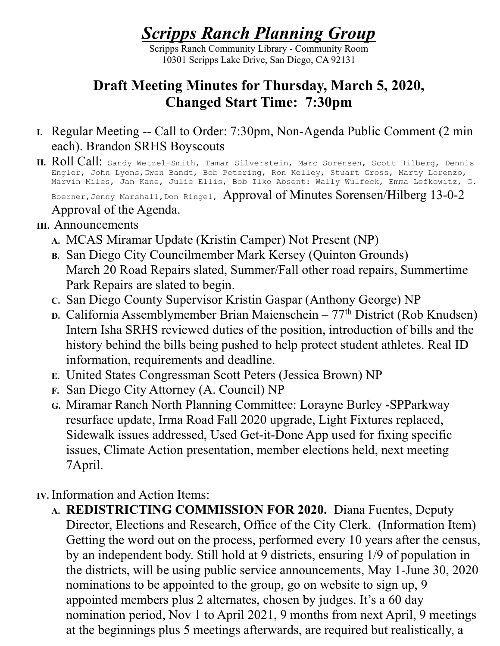## Scripps Ranch Planning Group

Scripps Ranch Community Library - Community Room 10301 Scripps Lake Drive, San Diego, CA 92131

## Draft Meeting Minutes for Thursday, March 5, 2020, Changed Start Time: 7:30pm

- I. Regular Meeting -- Call to Order: 7:30pm, Non-Agenda Public Comment (2 min each). Brandon SRHS Boyscouts
- II. Roll Call: Sandy Wetzel-Smith, Tamar Silverstein, Marc Sorensen, Scott Hilberg, Dennis Engler, John Lyons,Gwen Bandt, Bob Petering, Ron Kelley, Stuart Gross, Marty Lorenzo, Marvin Miles, Jan Kane, Julie Ellis, Bob Ilko Absent: Wally Wulfeck, Emma Lefkowitz, G.

Boerner, Jenny Marshall, Don Ringel, Approval of Minutes Sorensen/Hilberg 13-0-2

Approval of the Agenda.

## III. Announcements

- A. MCAS Miramar Update (Kristin Camper) Not Present (NP)
- B. San Diego City Councilmember Mark Kersey (Quinton Grounds) March 20 Road Repairs slated, Summer/Fall other road repairs, Summertime Park Repairs are slated to begin.
- C. San Diego County Supervisor Kristin Gaspar (Anthony George) NP
- D. California Assemblymember Brian Maienschein  $77<sup>th</sup>$  District (Rob Knudsen) Intern Isha SRHS reviewed duties of the position, introduction of bills and the history behind the bills being pushed to help protect student athletes. Real ID information, requirements and deadline.
- E. United States Congressman Scott Peters (Jessica Brown) NP
- F. San Diego City Attorney (A. Council) NP
- G. Miramar Ranch North Planning Committee: Lorayne Burley -SPParkway resurface update, Irma Road Fall 2020 upgrade, Light Fixtures replaced, Sidewalk issues addressed, Used Get-it-Done App used for fixing specific issues, Climate Action presentation, member elections held, next meeting 7April.

IV. Information and Action Items:

A. REDISTRICTING COMMISSION FOR 2020. Diana Fuentes, Deputy Director, Elections and Research, Office of the City Clerk. (Information Item) Getting the word out on the process, performed every 10 years after the census, by an independent body. Still hold at 9 districts, ensuring 1/9 of population in the districts, will be using public service announcements, May 1-June 30, 2020 nominations to be appointed to the group, go on website to sign up, 9 appointed members plus 2 alternates, chosen by judges. It's a 60 day nomination period, Nov 1 to April 2021, 9 months from next April, 9 meetings at the beginnings plus 5 meetings afterwards, are required but realistically, a